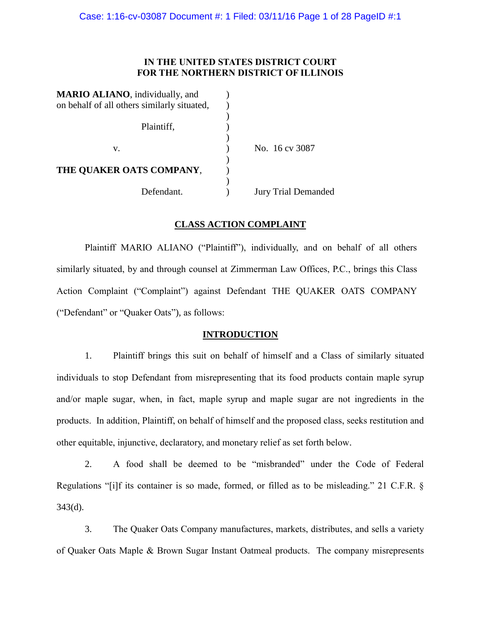# **IN THE UNITED STATES DISTRICT COURT FOR THE NORTHERN DISTRICT OF ILLINOIS**

| <b>MARIO ALIANO</b> , individually, and     |                            |
|---------------------------------------------|----------------------------|
| on behalf of all others similarly situated, |                            |
|                                             |                            |
| Plaintiff,                                  |                            |
|                                             |                            |
| v.                                          | No. 16 cv 3087             |
|                                             |                            |
| THE OUAKER OATS COMPANY,                    |                            |
|                                             |                            |
| Defendant.                                  | <b>Jury Trial Demanded</b> |

# **CLASS ACTION COMPLAINT**

Plaintiff MARIO ALIANO ("Plaintiff"), individually, and on behalf of all others similarly situated, by and through counsel at Zimmerman Law Offices, P.C., brings this Class Action Complaint ("Complaint") against Defendant THE QUAKER OATS COMPANY ("Defendant" or "Quaker Oats"), as follows:

# **INTRODUCTION**

1. Plaintiff brings this suit on behalf of himself and a Class of similarly situated individuals to stop Defendant from misrepresenting that its food products contain maple syrup and/or maple sugar, when, in fact, maple syrup and maple sugar are not ingredients in the products. In addition, Plaintiff, on behalf of himself and the proposed class, seeks restitution and other equitable, injunctive, declaratory, and monetary relief as set forth below.

2. A food shall be deemed to be "misbranded" under the Code of Federal Regulations "[i]f its container is so made, formed, or filled as to be misleading." 21 C.F.R. § 343(d).

3. The Quaker Oats Company manufactures, markets, distributes, and sells a variety of Quaker Oats Maple & Brown Sugar Instant Oatmeal products. The company misrepresents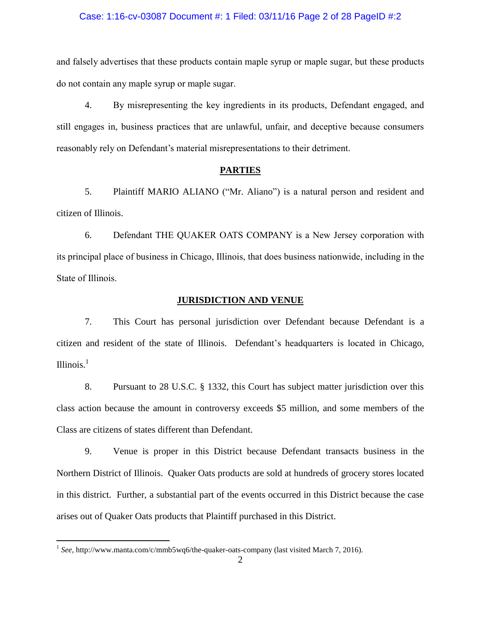### Case: 1:16-cv-03087 Document #: 1 Filed: 03/11/16 Page 2 of 28 PageID #:2

and falsely advertises that these products contain maple syrup or maple sugar, but these products do not contain any maple syrup or maple sugar.

4. By misrepresenting the key ingredients in its products, Defendant engaged, and still engages in, business practices that are unlawful, unfair, and deceptive because consumers reasonably rely on Defendant's material misrepresentations to their detriment.

#### **PARTIES**

5. Plaintiff MARIO ALIANO ("Mr. Aliano") is a natural person and resident and citizen of Illinois.

6. Defendant THE QUAKER OATS COMPANY is a New Jersey corporation with its principal place of business in Chicago, Illinois, that does business nationwide, including in the State of Illinois.

# **JURISDICTION AND VENUE**

7. This Court has personal jurisdiction over Defendant because Defendant is a citizen and resident of the state of Illinois. Defendant's headquarters is located in Chicago, Illinois. $<sup>1</sup>$ </sup>

8. Pursuant to 28 U.S.C. § 1332, this Court has subject matter jurisdiction over this class action because the amount in controversy exceeds \$5 million, and some members of the Class are citizens of states different than Defendant.

9. Venue is proper in this District because Defendant transacts business in the Northern District of Illinois. Quaker Oats products are sold at hundreds of grocery stores located in this district. Further, a substantial part of the events occurred in this District because the case arises out of Quaker Oats products that Plaintiff purchased in this District.

 $\overline{a}$ 

<sup>&</sup>lt;sup>1</sup> See, <http://www.manta.com/c/mmb5wq6/the-quaker-oats-company> (last visited March 7, 2016).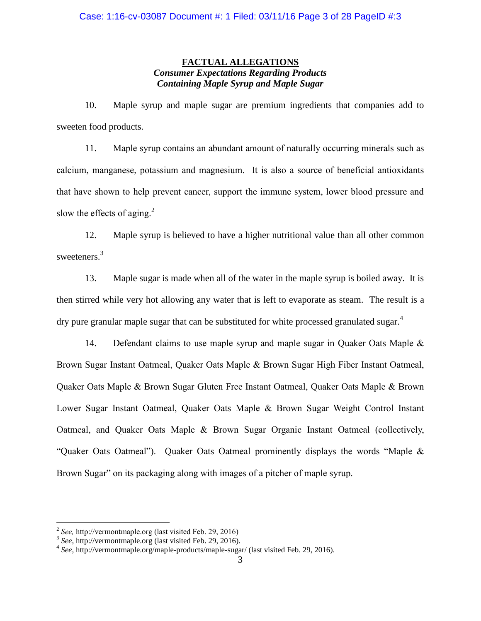# **FACTUAL ALLEGATIONS** *Consumer Expectations Regarding Products Containing Maple Syrup and Maple Sugar*

10. Maple syrup and maple sugar are premium ingredients that companies add to sweeten food products.

11. Maple syrup contains an abundant amount of naturally occurring minerals such as calcium, manganese, potassium and magnesium. It is also a source of beneficial antioxidants that have shown to help prevent cancer, support the immune system, lower blood pressure and slow the effects of aging. $^{2}$ 

12. Maple syrup is believed to have a higher nutritional value than all other common sweeteners.<sup>3</sup>

13. Maple sugar is made when all of the water in the maple syrup is boiled away. It is then stirred while very hot allowing any water that is left to evaporate as steam. The result is a dry pure granular maple sugar that can be substituted for white processed granulated sugar.<sup>4</sup>

14. Defendant claims to use maple syrup and maple sugar in Quaker Oats Maple & Brown Sugar Instant Oatmeal, Quaker Oats Maple & Brown Sugar High Fiber Instant Oatmeal, Quaker Oats Maple & Brown Sugar Gluten Free Instant Oatmeal, Quaker Oats Maple & Brown Lower Sugar Instant Oatmeal, Quaker Oats Maple & Brown Sugar Weight Control Instant Oatmeal, and Quaker Oats Maple & Brown Sugar Organic Instant Oatmeal (collectively, "Quaker Oats Oatmeal"). Quaker Oats Oatmeal prominently displays the words "Maple & Brown Sugar" on its packaging along with images of a pitcher of maple syrup.

 $\overline{a}$ 

<sup>2</sup> *See,* [http://vermontmaple.org](http://vermontmaple.org/) (last visited Feb. 29, 2016)

<sup>3</sup> *See,* [http://vermontmaple.org](http://vermontmaple.org/) (last visited Feb. 29, 2016).

<sup>4</sup> *See*[, http://vermontmaple.org/maple-products/maple-sugar/](http://vermontmaple.org/maple-products/maple-sugar/) (last visited Feb. 29, 2016).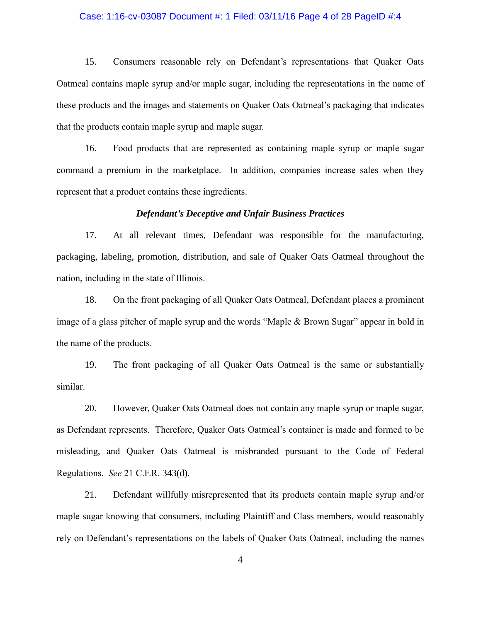### Case: 1:16-cv-03087 Document #: 1 Filed: 03/11/16 Page 4 of 28 PageID #:4

15. Consumers reasonable rely on Defendant's representations that Quaker Oats Oatmeal contains maple syrup and/or maple sugar, including the representations in the name of these products and the images and statements on Quaker Oats Oatmeal's packaging that indicates that the products contain maple syrup and maple sugar.

16. Food products that are represented as containing maple syrup or maple sugar command a premium in the marketplace. In addition, companies increase sales when they represent that a product contains these ingredients.

### *Defendant's Deceptive and Unfair Business Practices*

17. At all relevant times, Defendant was responsible for the manufacturing, packaging, labeling, promotion, distribution, and sale of Quaker Oats Oatmeal throughout the nation, including in the state of Illinois.

18. On the front packaging of all Quaker Oats Oatmeal, Defendant places a prominent image of a glass pitcher of maple syrup and the words "Maple & Brown Sugar" appear in bold in the name of the products.

19. The front packaging of all Quaker Oats Oatmeal is the same or substantially similar.

20. However, Quaker Oats Oatmeal does not contain any maple syrup or maple sugar, as Defendant represents. Therefore, Quaker Oats Oatmeal's container is made and formed to be misleading, and Quaker Oats Oatmeal is misbranded pursuant to the Code of Federal Regulations. *See* 21 C.F.R. 343(d).

21. Defendant willfully misrepresented that its products contain maple syrup and/or maple sugar knowing that consumers, including Plaintiff and Class members, would reasonably rely on Defendant's representations on the labels of Quaker Oats Oatmeal, including the names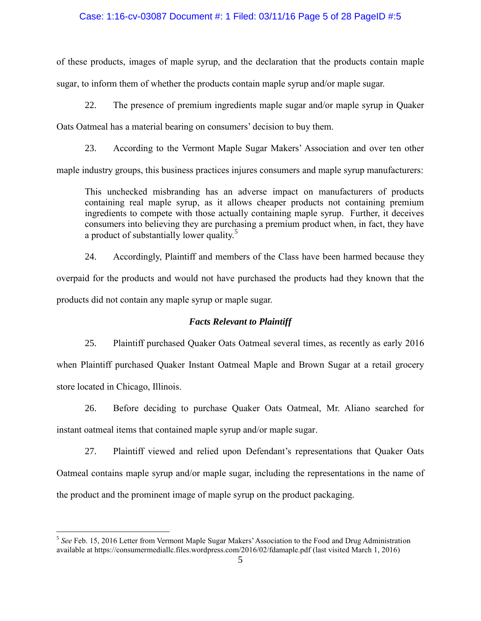# Case: 1:16-cv-03087 Document #: 1 Filed: 03/11/16 Page 5 of 28 PageID #:5

of these products, images of maple syrup, and the declaration that the products contain maple sugar, to inform them of whether the products contain maple syrup and/or maple sugar.

22. The presence of premium ingredients maple sugar and/or maple syrup in Quaker

Oats Oatmeal has a material bearing on consumers' decision to buy them.

23. According to the Vermont Maple Sugar Makers' Association and over ten other

maple industry groups, this business practices injures consumers and maple syrup manufacturers:

This unchecked misbranding has an adverse impact on manufacturers of products containing real maple syrup, as it allows cheaper products not containing premium ingredients to compete with those actually containing maple syrup. Further, it deceives consumers into believing they are purchasing a premium product when, in fact, they have a product of substantially lower quality.<sup>5</sup>

24. Accordingly, Plaintiff and members of the Class have been harmed because they overpaid for the products and would not have purchased the products had they known that the products did not contain any maple syrup or maple sugar.

# *Facts Relevant to Plaintiff*

25. Plaintiff purchased Quaker Oats Oatmeal several times, as recently as early 2016 when Plaintiff purchased Quaker Instant Oatmeal Maple and Brown Sugar at a retail grocery store located in Chicago, Illinois.

26. Before deciding to purchase Quaker Oats Oatmeal, Mr. Aliano searched for instant oatmeal items that contained maple syrup and/or maple sugar.

27. Plaintiff viewed and relied upon Defendant's representations that Quaker Oats Oatmeal contains maple syrup and/or maple sugar, including the representations in the name of the product and the prominent image of maple syrup on the product packaging.

 $\overline{a}$ 

<sup>&</sup>lt;sup>5</sup> See Feb. 15, 2016 Letter from Vermont Maple Sugar Makers' Association to the Food and Drug Administration available at<https://consumermediallc.files.wordpress.com/2016/02/fdamaple.pdf> (last visited March 1, 2016)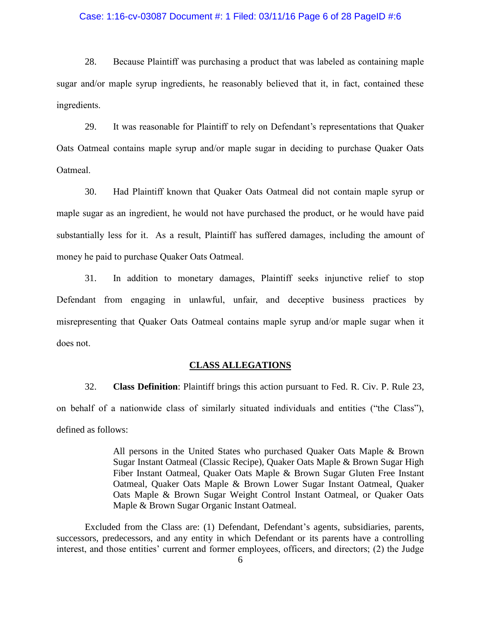### Case: 1:16-cv-03087 Document #: 1 Filed: 03/11/16 Page 6 of 28 PageID #:6

28. Because Plaintiff was purchasing a product that was labeled as containing maple sugar and/or maple syrup ingredients, he reasonably believed that it, in fact, contained these ingredients.

29. It was reasonable for Plaintiff to rely on Defendant's representations that Quaker Oats Oatmeal contains maple syrup and/or maple sugar in deciding to purchase Quaker Oats Oatmeal.

30. Had Plaintiff known that Quaker Oats Oatmeal did not contain maple syrup or maple sugar as an ingredient, he would not have purchased the product, or he would have paid substantially less for it. As a result, Plaintiff has suffered damages, including the amount of money he paid to purchase Quaker Oats Oatmeal.

31. In addition to monetary damages, Plaintiff seeks injunctive relief to stop Defendant from engaging in unlawful, unfair, and deceptive business practices by misrepresenting that Quaker Oats Oatmeal contains maple syrup and/or maple sugar when it does not.

# **CLASS ALLEGATIONS**

32. **Class Definition**: Plaintiff brings this action pursuant to Fed. R. Civ. P. Rule 23, on behalf of a nationwide class of similarly situated individuals and entities ("the Class"), defined as follows:

> All persons in the United States who purchased Quaker Oats Maple & Brown Sugar Instant Oatmeal (Classic Recipe), Quaker Oats Maple & Brown Sugar High Fiber Instant Oatmeal, Quaker Oats Maple & Brown Sugar Gluten Free Instant Oatmeal, Quaker Oats Maple & Brown Lower Sugar Instant Oatmeal, Quaker Oats Maple & Brown Sugar Weight Control Instant Oatmeal, or Quaker Oats Maple & Brown Sugar Organic Instant Oatmeal.

Excluded from the Class are: (1) Defendant, Defendant's agents, subsidiaries, parents, successors, predecessors, and any entity in which Defendant or its parents have a controlling interest, and those entities' current and former employees, officers, and directors; (2) the Judge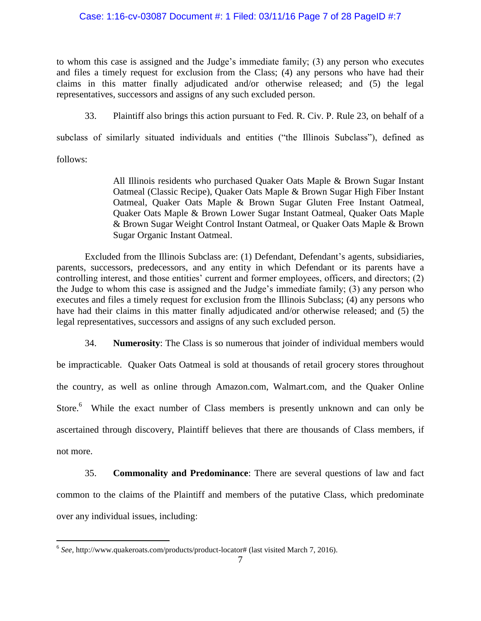# Case: 1:16-cv-03087 Document #: 1 Filed: 03/11/16 Page 7 of 28 PageID #:7

to whom this case is assigned and the Judge's immediate family; (3) any person who executes and files a timely request for exclusion from the Class; (4) any persons who have had their claims in this matter finally adjudicated and/or otherwise released; and (5) the legal representatives, successors and assigns of any such excluded person.

33. Plaintiff also brings this action pursuant to Fed. R. Civ. P. Rule 23, on behalf of a

subclass of similarly situated individuals and entities ("the Illinois Subclass"), defined as

follows:

All Illinois residents who purchased Quaker Oats Maple & Brown Sugar Instant Oatmeal (Classic Recipe), Quaker Oats Maple & Brown Sugar High Fiber Instant Oatmeal, Quaker Oats Maple & Brown Sugar Gluten Free Instant Oatmeal, Quaker Oats Maple & Brown Lower Sugar Instant Oatmeal, Quaker Oats Maple & Brown Sugar Weight Control Instant Oatmeal, or Quaker Oats Maple & Brown Sugar Organic Instant Oatmeal.

Excluded from the Illinois Subclass are: (1) Defendant, Defendant's agents, subsidiaries, parents, successors, predecessors, and any entity in which Defendant or its parents have a controlling interest, and those entities' current and former employees, officers, and directors; (2) the Judge to whom this case is assigned and the Judge's immediate family; (3) any person who executes and files a timely request for exclusion from the Illinois Subclass; (4) any persons who have had their claims in this matter finally adjudicated and/or otherwise released; and (5) the legal representatives, successors and assigns of any such excluded person.

34. **Numerosity**: The Class is so numerous that joinder of individual members would

be impracticable. Quaker Oats Oatmeal is sold at thousands of retail grocery stores throughout the country, as well as online through Amazon.com, Walmart.com, and the Quaker Online Store.<sup>6</sup> While the exact number of Class members is presently unknown and can only be ascertained through discovery, Plaintiff believes that there are thousands of Class members, if not more.

35. **Commonality and Predominance**: There are several questions of law and fact common to the claims of the Plaintiff and members of the putative Class, which predominate over any individual issues, including:

 6 *See,* [http://www.quakeroats.com/products/product-locator#](http://www.quakeroats.com/products/product-locator) (last visited March 7, 2016).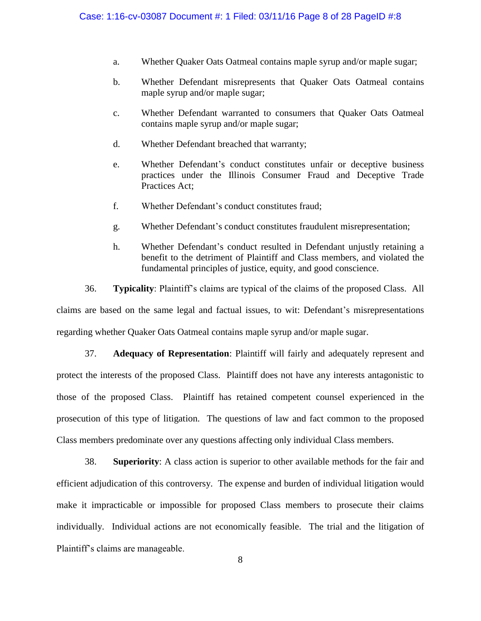- a. Whether Quaker Oats Oatmeal contains maple syrup and/or maple sugar;
- b. Whether Defendant misrepresents that Quaker Oats Oatmeal contains maple syrup and/or maple sugar;
- c. Whether Defendant warranted to consumers that Quaker Oats Oatmeal contains maple syrup and/or maple sugar;
- d. Whether Defendant breached that warranty;
- e. Whether Defendant's conduct constitutes unfair or deceptive business practices under the Illinois Consumer Fraud and Deceptive Trade Practices Act;
- f. Whether Defendant's conduct constitutes fraud;
- g. Whether Defendant's conduct constitutes fraudulent misrepresentation;
- h. Whether Defendant's conduct resulted in Defendant unjustly retaining a benefit to the detriment of Plaintiff and Class members, and violated the fundamental principles of justice, equity, and good conscience.

36. **Typicality**: Plaintiff's claims are typical of the claims of the proposed Class. All claims are based on the same legal and factual issues, to wit: Defendant's misrepresentations regarding whether Quaker Oats Oatmeal contains maple syrup and/or maple sugar.

37. **Adequacy of Representation**: Plaintiff will fairly and adequately represent and protect the interests of the proposed Class. Plaintiff does not have any interests antagonistic to those of the proposed Class. Plaintiff has retained competent counsel experienced in the prosecution of this type of litigation. The questions of law and fact common to the proposed Class members predominate over any questions affecting only individual Class members.

38. **Superiority**: A class action is superior to other available methods for the fair and efficient adjudication of this controversy. The expense and burden of individual litigation would make it impracticable or impossible for proposed Class members to prosecute their claims individually. Individual actions are not economically feasible. The trial and the litigation of Plaintiff's claims are manageable.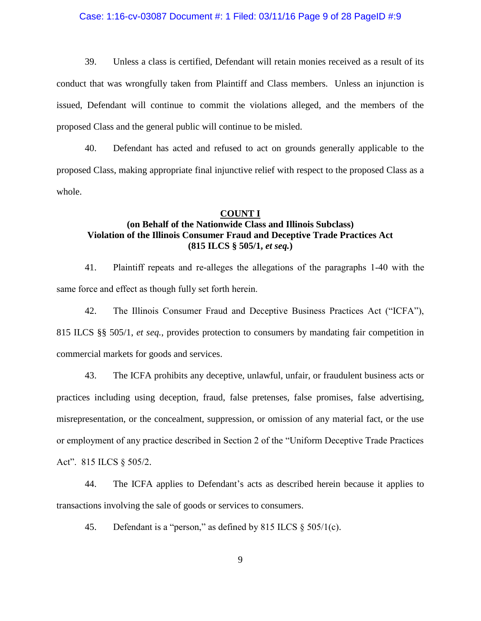### Case: 1:16-cv-03087 Document #: 1 Filed: 03/11/16 Page 9 of 28 PageID #:9

39. Unless a class is certified, Defendant will retain monies received as a result of its conduct that was wrongfully taken from Plaintiff and Class members. Unless an injunction is issued, Defendant will continue to commit the violations alleged, and the members of the proposed Class and the general public will continue to be misled.

40. Defendant has acted and refused to act on grounds generally applicable to the proposed Class, making appropriate final injunctive relief with respect to the proposed Class as a whole.

### **COUNT I**

# **(on Behalf of the Nationwide Class and Illinois Subclass) Violation of the Illinois Consumer Fraud and Deceptive Trade Practices Act (815 ILCS § 505/1,** *et seq.***)**

41. Plaintiff repeats and re-alleges the allegations of the paragraphs 1-40 with the same force and effect as though fully set forth herein.

42. The Illinois Consumer Fraud and Deceptive Business Practices Act ("ICFA"), 815 ILCS §§ 505/1, *et seq.*, provides protection to consumers by mandating fair competition in commercial markets for goods and services.

43. The ICFA prohibits any deceptive, unlawful, unfair, or fraudulent business acts or practices including using deception, fraud, false pretenses, false promises, false advertising, misrepresentation, or the concealment, suppression, or omission of any material fact, or the use or employment of any practice described in Section 2 of the "Uniform Deceptive Trade Practices Act". 815 ILCS § 505/2.

44. The ICFA applies to Defendant's acts as described herein because it applies to transactions involving the sale of goods or services to consumers.

45. Defendant is a "person," as defined by  $815$  ILCS  $\S$   $505/1(c)$ .

9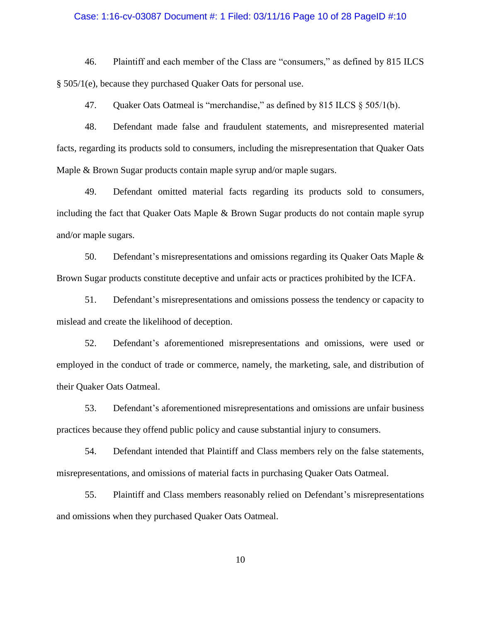#### Case: 1:16-cv-03087 Document #: 1 Filed: 03/11/16 Page 10 of 28 PageID #:10

46. Plaintiff and each member of the Class are "consumers," as defined by 815 ILCS § 505/1(e), because they purchased Quaker Oats for personal use.

47. Quaker Oats Oatmeal is "merchandise," as defined by 815 ILCS § 505/1(b).

48. Defendant made false and fraudulent statements, and misrepresented material facts, regarding its products sold to consumers, including the misrepresentation that Quaker Oats Maple & Brown Sugar products contain maple syrup and/or maple sugars.

49. Defendant omitted material facts regarding its products sold to consumers, including the fact that Quaker Oats Maple & Brown Sugar products do not contain maple syrup and/or maple sugars.

50. Defendant's misrepresentations and omissions regarding its Quaker Oats Maple & Brown Sugar products constitute deceptive and unfair acts or practices prohibited by the ICFA.

51. Defendant's misrepresentations and omissions possess the tendency or capacity to mislead and create the likelihood of deception.

52. Defendant's aforementioned misrepresentations and omissions, were used or employed in the conduct of trade or commerce, namely, the marketing, sale, and distribution of their Quaker Oats Oatmeal.

53. Defendant's aforementioned misrepresentations and omissions are unfair business practices because they offend public policy and cause substantial injury to consumers.

54. Defendant intended that Plaintiff and Class members rely on the false statements, misrepresentations, and omissions of material facts in purchasing Quaker Oats Oatmeal.

55. Plaintiff and Class members reasonably relied on Defendant's misrepresentations and omissions when they purchased Quaker Oats Oatmeal.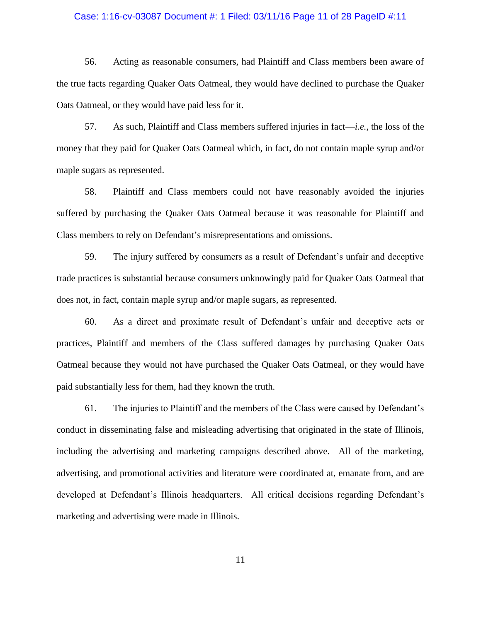#### Case: 1:16-cv-03087 Document #: 1 Filed: 03/11/16 Page 11 of 28 PageID #:11

56. Acting as reasonable consumers, had Plaintiff and Class members been aware of the true facts regarding Quaker Oats Oatmeal, they would have declined to purchase the Quaker Oats Oatmeal, or they would have paid less for it.

57. As such, Plaintiff and Class members suffered injuries in fact—*i.e.*, the loss of the money that they paid for Quaker Oats Oatmeal which, in fact, do not contain maple syrup and/or maple sugars as represented.

58. Plaintiff and Class members could not have reasonably avoided the injuries suffered by purchasing the Quaker Oats Oatmeal because it was reasonable for Plaintiff and Class members to rely on Defendant's misrepresentations and omissions.

59. The injury suffered by consumers as a result of Defendant's unfair and deceptive trade practices is substantial because consumers unknowingly paid for Quaker Oats Oatmeal that does not, in fact, contain maple syrup and/or maple sugars, as represented.

60. As a direct and proximate result of Defendant's unfair and deceptive acts or practices, Plaintiff and members of the Class suffered damages by purchasing Quaker Oats Oatmeal because they would not have purchased the Quaker Oats Oatmeal, or they would have paid substantially less for them, had they known the truth.

61. The injuries to Plaintiff and the members of the Class were caused by Defendant's conduct in disseminating false and misleading advertising that originated in the state of Illinois, including the advertising and marketing campaigns described above. All of the marketing, advertising, and promotional activities and literature were coordinated at, emanate from, and are developed at Defendant's Illinois headquarters. All critical decisions regarding Defendant's marketing and advertising were made in Illinois.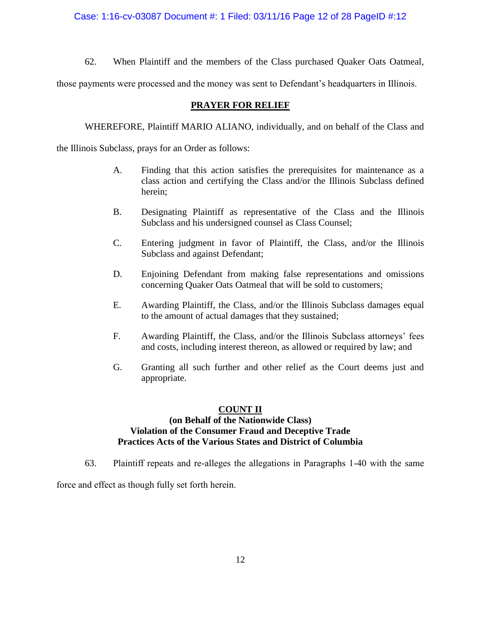Case: 1:16-cv-03087 Document #: 1 Filed: 03/11/16 Page 12 of 28 PageID #:12

62. When Plaintiff and the members of the Class purchased Quaker Oats Oatmeal,

those payments were processed and the money was sent to Defendant's headquarters in Illinois.

# **PRAYER FOR RELIEF**

WHEREFORE, Plaintiff MARIO ALIANO, individually, and on behalf of the Class and

the Illinois Subclass, prays for an Order as follows:

- A. Finding that this action satisfies the prerequisites for maintenance as a class action and certifying the Class and/or the Illinois Subclass defined herein;
- B. Designating Plaintiff as representative of the Class and the Illinois Subclass and his undersigned counsel as Class Counsel;
- C. Entering judgment in favor of Plaintiff, the Class, and/or the Illinois Subclass and against Defendant;
- D. Enjoining Defendant from making false representations and omissions concerning Quaker Oats Oatmeal that will be sold to customers;
- E. Awarding Plaintiff, the Class, and/or the Illinois Subclass damages equal to the amount of actual damages that they sustained;
- F. Awarding Plaintiff, the Class, and/or the Illinois Subclass attorneys' fees and costs, including interest thereon, as allowed or required by law; and
- G. Granting all such further and other relief as the Court deems just and appropriate.

# **COUNT II**

# **(on Behalf of the Nationwide Class) Violation of the Consumer Fraud and Deceptive Trade Practices Acts of the Various States and District of Columbia**

63. Plaintiff repeats and re-alleges the allegations in Paragraphs 1-40 with the same

force and effect as though fully set forth herein.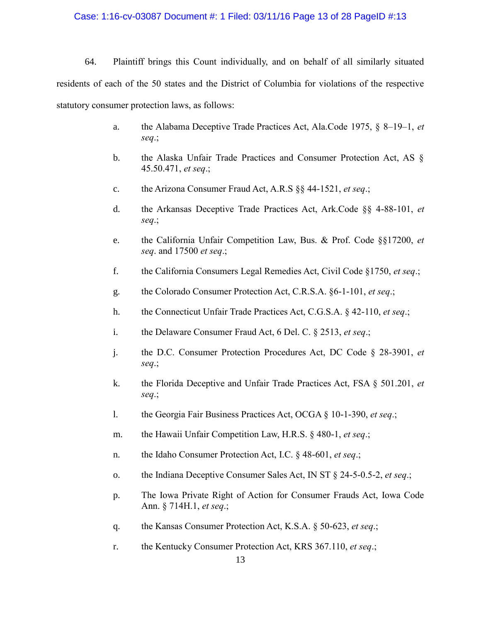#### Case: 1:16-cv-03087 Document #: 1 Filed: 03/11/16 Page 13 of 28 PageID #:13

64. Plaintiff brings this Count individually, and on behalf of all similarly situated residents of each of the 50 states and the District of Columbia for violations of the respective statutory consumer protection laws, as follows:

- a. the Alabama Deceptive Trade Practices Act, Ala.Code 1975, § 8–19–1, *et seq*.;
- b. the Alaska Unfair Trade Practices and Consumer Protection Act, AS § 45.50.471, *et seq*.;
- c. the Arizona Consumer Fraud Act, A.R.S §§ 44-1521, *et seq*.;
- d. the Arkansas Deceptive Trade Practices Act, Ark.Code §§ 4-88-101, *et seq*.;
- e. the California Unfair Competition Law, Bus. & Prof. Code §§17200, *et seq*. and 17500 *et seq*.;
- f. the California Consumers Legal Remedies Act, Civil Code §1750, *et seq*.;
- g. the Colorado Consumer Protection Act, C.R.S.A. §6-1-101, *et seq*.;
- h. the Connecticut Unfair Trade Practices Act, C.G.S.A. § 42-110, *et seq*.;
- i. the Delaware Consumer Fraud Act, 6 Del. C. § 2513, *et seq*.;
- j. the D.C. Consumer Protection Procedures Act, DC Code § 28-3901, *et seq*.;
- k. the Florida Deceptive and Unfair Trade Practices Act, FSA § 501.201, *et seq*.;
- l. the Georgia Fair Business Practices Act, OCGA § 10-1-390, *et seq*.;
- m. the Hawaii Unfair Competition Law, H.R.S. § 480-1, *et seq*.;
- n. the Idaho Consumer Protection Act, I.C. § 48-601, *et seq*.;
- o. the Indiana Deceptive Consumer Sales Act, IN ST § 24-5-0.5-2, *et seq*.;
- p. The Iowa Private Right of Action for Consumer Frauds Act, Iowa Code Ann. § 714H.1, *et seq*.;
- q. the Kansas Consumer Protection Act, K.S.A. § 50-623, *et seq*.;
- r. the Kentucky Consumer Protection Act, KRS 367.110, *et seq*.;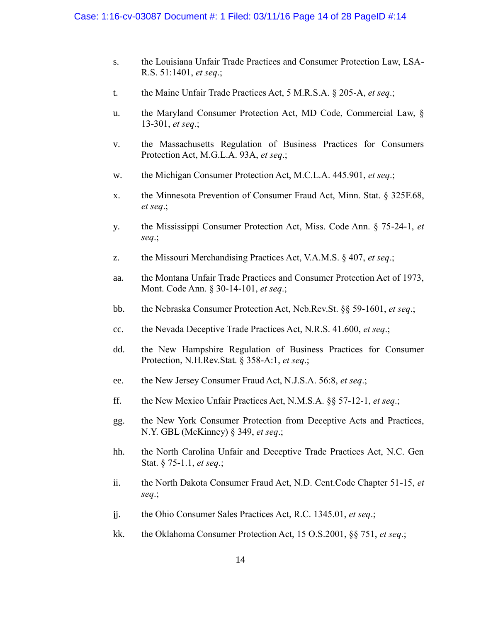- s. the Louisiana Unfair Trade Practices and Consumer Protection Law, LSA-R.S. 51:1401, *et seq*.;
- t. the Maine Unfair Trade Practices Act, 5 M.R.S.A. § 205-A, *et seq*.;
- u. the Maryland Consumer Protection Act, MD Code, Commercial Law, § 13-301, *et seq*.;
- v. the Massachusetts Regulation of Business Practices for Consumers Protection Act, M.G.L.A. 93A, *et seq*.;
- w. the Michigan Consumer Protection Act, M.C.L.A. 445.901, *et seq*.;
- x. the Minnesota Prevention of Consumer Fraud Act, Minn. Stat. § 325F.68, *et seq*.;
- y. the Mississippi Consumer Protection Act, Miss. Code Ann. § 75-24-1, *et seq*.;
- z. the Missouri Merchandising Practices Act, V.A.M.S. § 407, *et seq*.;
- aa. the Montana Unfair Trade Practices and Consumer Protection Act of 1973, Mont. Code Ann. § 30-14-101, *et seq*.;
- bb. the Nebraska Consumer Protection Act, Neb.Rev.St. §§ 59-1601, *et seq*.;
- cc. the Nevada Deceptive Trade Practices Act, N.R.S. 41.600, *et seq*.;
- dd. the New Hampshire Regulation of Business Practices for Consumer Protection, N.H.Rev.Stat. § 358-A:1, *et seq*.;
- ee. the New Jersey Consumer Fraud Act, N.J.S.A. 56:8, *et seq*.;
- ff. the New Mexico Unfair Practices Act, N.M.S.A. §§ 57-12-1, *et seq*.;
- gg. the New York Consumer Protection from Deceptive Acts and Practices, N.Y. GBL (McKinney) § 349, *et seq*.;
- hh. the North Carolina Unfair and Deceptive Trade Practices Act, N.C. Gen Stat. § 75-1.1, *et seq*.;
- ii. the North Dakota Consumer Fraud Act, N.D. Cent.Code Chapter 51-15, *et seq*.;
- jj. the Ohio Consumer Sales Practices Act, R.C. 1345.01, *et seq*.;
- kk. the Oklahoma Consumer Protection Act, 15 O.S.2001, §§ 751, *et seq*.;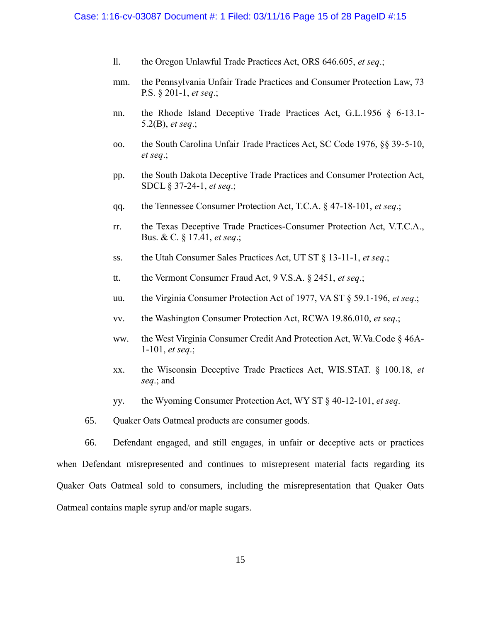#### Case: 1:16-cv-03087 Document #: 1 Filed: 03/11/16 Page 15 of 28 PageID #:15

- ll. the Oregon Unlawful Trade Practices Act, ORS 646.605, *et seq*.;
- mm. the Pennsylvania Unfair Trade Practices and Consumer Protection Law, 73 P.S. § 201-1, *et seq*.;
- nn. the Rhode Island Deceptive Trade Practices Act, G.L.1956 § 6-13.1- 5.2(B), *et seq*.;
- oo. the South Carolina Unfair Trade Practices Act, SC Code 1976, §§ 39-5-10, *et seq*.;
- pp. the South Dakota Deceptive Trade Practices and Consumer Protection Act, SDCL § 37-24-1, *et seq*.;
- qq. the Tennessee Consumer Protection Act, T.C.A. § 47-18-101, *et seq*.;
- rr. the Texas Deceptive Trade Practices-Consumer Protection Act, V.T.C.A., Bus. & C. § 17.41, *et seq*.;
- ss. the Utah Consumer Sales Practices Act, UT ST § 13-11-1, *et seq*.;
- tt. the Vermont Consumer Fraud Act, 9 V.S.A. § 2451, *et seq*.;
- uu. the Virginia Consumer Protection Act of 1977, VA ST § 59.1-196, *et seq*.;
- vv. the Washington Consumer Protection Act, RCWA 19.86.010, *et seq*.;
- ww. the West Virginia Consumer Credit And Protection Act, W.Va.Code § 46A-1-101, *et seq*.;
- xx. the Wisconsin Deceptive Trade Practices Act, WIS.STAT. § 100.18, *et seq*.; and
- yy. the Wyoming Consumer Protection Act, WY ST § 40-12-101, *et seq*.
- 65. Quaker Oats Oatmeal products are consumer goods.

66. Defendant engaged, and still engages, in unfair or deceptive acts or practices when Defendant misrepresented and continues to misrepresent material facts regarding its Quaker Oats Oatmeal sold to consumers, including the misrepresentation that Quaker Oats Oatmeal contains maple syrup and/or maple sugars.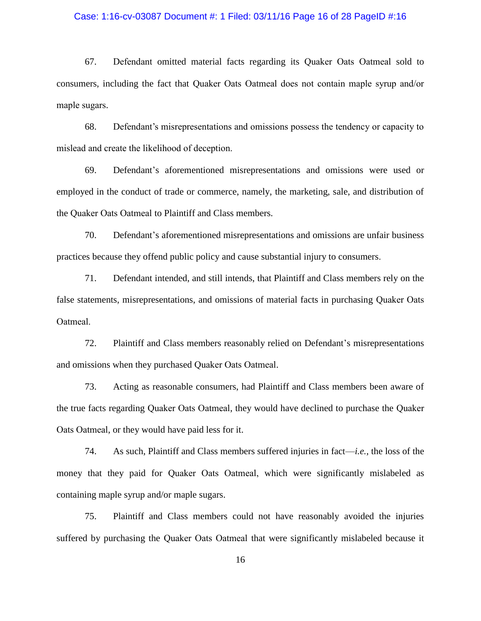### Case: 1:16-cv-03087 Document #: 1 Filed: 03/11/16 Page 16 of 28 PageID #:16

67. Defendant omitted material facts regarding its Quaker Oats Oatmeal sold to consumers, including the fact that Quaker Oats Oatmeal does not contain maple syrup and/or maple sugars.

68. Defendant's misrepresentations and omissions possess the tendency or capacity to mislead and create the likelihood of deception.

69. Defendant's aforementioned misrepresentations and omissions were used or employed in the conduct of trade or commerce, namely, the marketing, sale, and distribution of the Quaker Oats Oatmeal to Plaintiff and Class members.

70. Defendant's aforementioned misrepresentations and omissions are unfair business practices because they offend public policy and cause substantial injury to consumers.

71. Defendant intended, and still intends, that Plaintiff and Class members rely on the false statements, misrepresentations, and omissions of material facts in purchasing Quaker Oats Oatmeal.

72. Plaintiff and Class members reasonably relied on Defendant's misrepresentations and omissions when they purchased Quaker Oats Oatmeal.

73. Acting as reasonable consumers, had Plaintiff and Class members been aware of the true facts regarding Quaker Oats Oatmeal, they would have declined to purchase the Quaker Oats Oatmeal, or they would have paid less for it.

74. As such, Plaintiff and Class members suffered injuries in fact—*i.e.*, the loss of the money that they paid for Quaker Oats Oatmeal, which were significantly mislabeled as containing maple syrup and/or maple sugars.

75. Plaintiff and Class members could not have reasonably avoided the injuries suffered by purchasing the Quaker Oats Oatmeal that were significantly mislabeled because it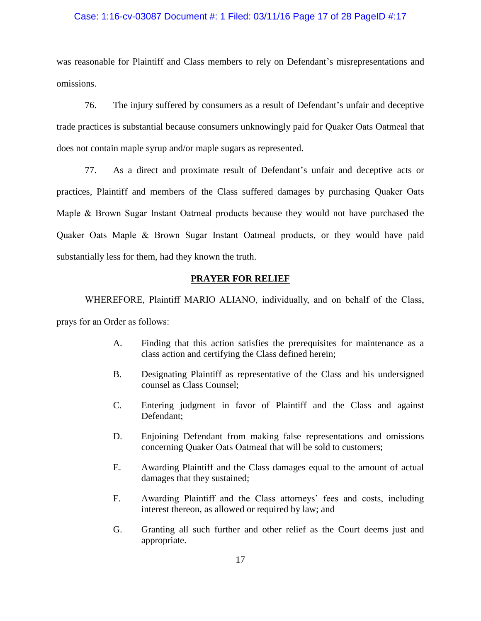#### Case: 1:16-cv-03087 Document #: 1 Filed: 03/11/16 Page 17 of 28 PageID #:17

was reasonable for Plaintiff and Class members to rely on Defendant's misrepresentations and omissions.

76. The injury suffered by consumers as a result of Defendant's unfair and deceptive trade practices is substantial because consumers unknowingly paid for Quaker Oats Oatmeal that does not contain maple syrup and/or maple sugars as represented.

77. As a direct and proximate result of Defendant's unfair and deceptive acts or practices, Plaintiff and members of the Class suffered damages by purchasing Quaker Oats Maple & Brown Sugar Instant Oatmeal products because they would not have purchased the Quaker Oats Maple & Brown Sugar Instant Oatmeal products, or they would have paid substantially less for them, had they known the truth.

# **PRAYER FOR RELIEF**

WHEREFORE, Plaintiff MARIO ALIANO, individually, and on behalf of the Class,

prays for an Order as follows:

- A. Finding that this action satisfies the prerequisites for maintenance as a class action and certifying the Class defined herein;
- B. Designating Plaintiff as representative of the Class and his undersigned counsel as Class Counsel;
- C. Entering judgment in favor of Plaintiff and the Class and against Defendant;
- D. Enjoining Defendant from making false representations and omissions concerning Quaker Oats Oatmeal that will be sold to customers;
- E. Awarding Plaintiff and the Class damages equal to the amount of actual damages that they sustained;
- F. Awarding Plaintiff and the Class attorneys' fees and costs, including interest thereon, as allowed or required by law; and
- G. Granting all such further and other relief as the Court deems just and appropriate.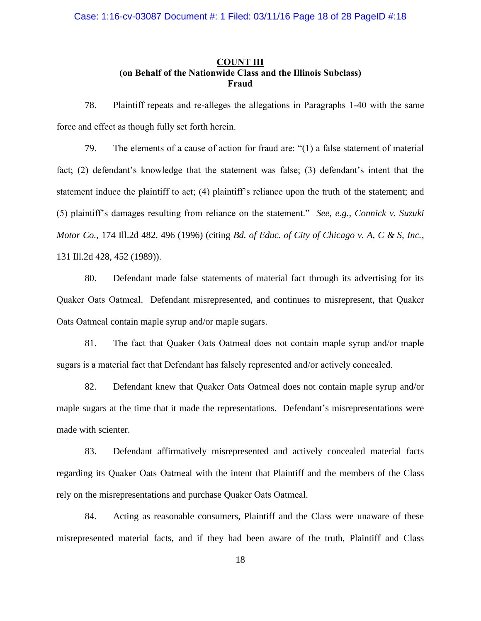# **COUNT III (on Behalf of the Nationwide Class and the Illinois Subclass) Fraud**

78. Plaintiff repeats and re-alleges the allegations in Paragraphs 1-40 with the same force and effect as though fully set forth herein.

79. The elements of a cause of action for fraud are: "(1) a false statement of material fact; (2) defendant's knowledge that the statement was false; (3) defendant's intent that the statement induce the plaintiff to act; (4) plaintiff's reliance upon the truth of the statement; and (5) plaintiff's damages resulting from reliance on the statement." *See, e.g., Connick v. Suzuki Motor Co.*, 174 Ill.2d 482, 496 (1996) (citing *Bd. of Educ. of City of Chicago v. A, C & S, Inc.*, 131 Ill.2d 428, 452 (1989)).

80. Defendant made false statements of material fact through its advertising for its Quaker Oats Oatmeal. Defendant misrepresented, and continues to misrepresent, that Quaker Oats Oatmeal contain maple syrup and/or maple sugars.

81. The fact that Quaker Oats Oatmeal does not contain maple syrup and/or maple sugars is a material fact that Defendant has falsely represented and/or actively concealed.

82. Defendant knew that Quaker Oats Oatmeal does not contain maple syrup and/or maple sugars at the time that it made the representations. Defendant's misrepresentations were made with scienter.

83. Defendant affirmatively misrepresented and actively concealed material facts regarding its Quaker Oats Oatmeal with the intent that Plaintiff and the members of the Class rely on the misrepresentations and purchase Quaker Oats Oatmeal.

84. Acting as reasonable consumers, Plaintiff and the Class were unaware of these misrepresented material facts, and if they had been aware of the truth, Plaintiff and Class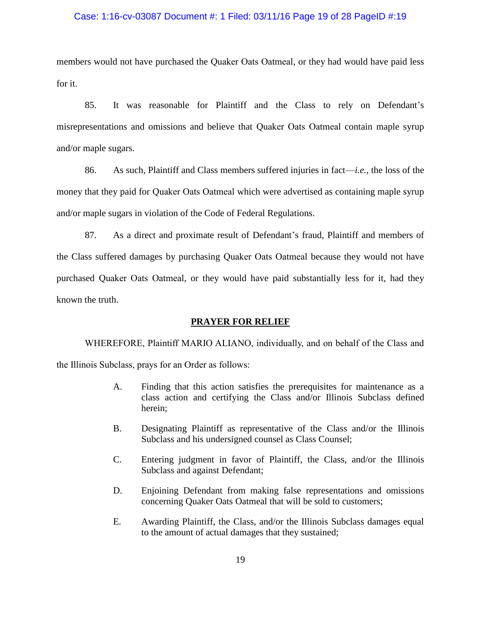#### Case: 1:16-cv-03087 Document #: 1 Filed: 03/11/16 Page 19 of 28 PageID #:19

members would not have purchased the Quaker Oats Oatmeal, or they had would have paid less for it.

85. It was reasonable for Plaintiff and the Class to rely on Defendant's misrepresentations and omissions and believe that Quaker Oats Oatmeal contain maple syrup and/or maple sugars.

86. As such, Plaintiff and Class members suffered injuries in fact—*i.e.*, the loss of the money that they paid for Quaker Oats Oatmeal which were advertised as containing maple syrup and/or maple sugars in violation of the Code of Federal Regulations.

87. As a direct and proximate result of Defendant's fraud, Plaintiff and members of the Class suffered damages by purchasing Quaker Oats Oatmeal because they would not have purchased Quaker Oats Oatmeal, or they would have paid substantially less for it, had they known the truth.

### **PRAYER FOR RELIEF**

WHEREFORE, Plaintiff MARIO ALIANO, individually, and on behalf of the Class and the Illinois Subclass, prays for an Order as follows:

- A. Finding that this action satisfies the prerequisites for maintenance as a class action and certifying the Class and/or Illinois Subclass defined herein;
- B. Designating Plaintiff as representative of the Class and/or the Illinois Subclass and his undersigned counsel as Class Counsel;
- C. Entering judgment in favor of Plaintiff, the Class, and/or the Illinois Subclass and against Defendant;
- D. Enjoining Defendant from making false representations and omissions concerning Quaker Oats Oatmeal that will be sold to customers;
- E. Awarding Plaintiff, the Class, and/or the Illinois Subclass damages equal to the amount of actual damages that they sustained;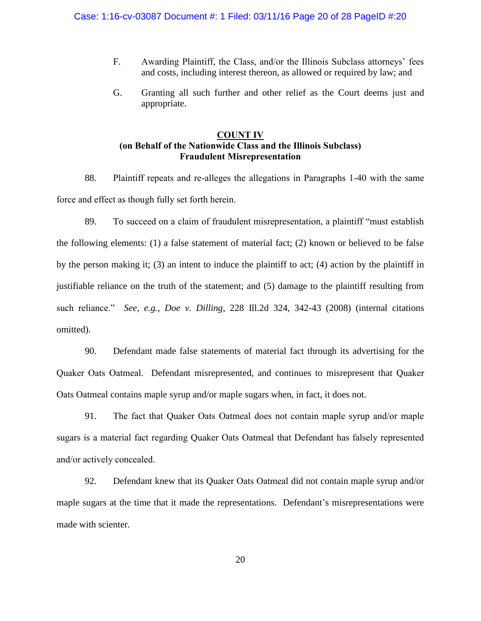- F. Awarding Plaintiff, the Class, and/or the Illinois Subclass attorneys' fees and costs, including interest thereon, as allowed or required by law; and
- G. Granting all such further and other relief as the Court deems just and appropriate.

# **COUNT IV (on Behalf of the Nationwide Class and the Illinois Subclass) Fraudulent Misrepresentation**

88. Plaintiff repeats and re-alleges the allegations in Paragraphs 1-40 with the same force and effect as though fully set forth herein.

89. To succeed on a claim of fraudulent misrepresentation, a plaintiff "must establish the following elements: (1) a false statement of material fact; (2) known or believed to be false by the person making it; (3) an intent to induce the plaintiff to act; (4) action by the plaintiff in justifiable reliance on the truth of the statement; and (5) damage to the plaintiff resulting from such reliance." *See, e.g., Doe v. Dilling*, 228 Ill.2d 324, 342-43 (2008) (internal citations omitted).

90. Defendant made false statements of material fact through its advertising for the Quaker Oats Oatmeal. Defendant misrepresented, and continues to misrepresent that Quaker Oats Oatmeal contains maple syrup and/or maple sugars when, in fact, it does not.

91. The fact that Quaker Oats Oatmeal does not contain maple syrup and/or maple sugars is a material fact regarding Quaker Oats Oatmeal that Defendant has falsely represented and/or actively concealed.

92. Defendant knew that its Quaker Oats Oatmeal did not contain maple syrup and/or maple sugars at the time that it made the representations. Defendant's misrepresentations were made with scienter.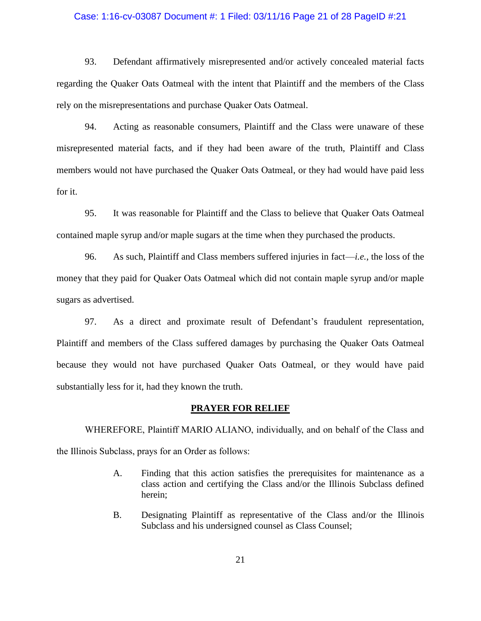#### Case: 1:16-cv-03087 Document #: 1 Filed: 03/11/16 Page 21 of 28 PageID #:21

93. Defendant affirmatively misrepresented and/or actively concealed material facts regarding the Quaker Oats Oatmeal with the intent that Plaintiff and the members of the Class rely on the misrepresentations and purchase Quaker Oats Oatmeal.

94. Acting as reasonable consumers, Plaintiff and the Class were unaware of these misrepresented material facts, and if they had been aware of the truth, Plaintiff and Class members would not have purchased the Quaker Oats Oatmeal, or they had would have paid less for it.

95. It was reasonable for Plaintiff and the Class to believe that Quaker Oats Oatmeal contained maple syrup and/or maple sugars at the time when they purchased the products.

96. As such, Plaintiff and Class members suffered injuries in fact—*i.e.*, the loss of the money that they paid for Quaker Oats Oatmeal which did not contain maple syrup and/or maple sugars as advertised.

97. As a direct and proximate result of Defendant's fraudulent representation, Plaintiff and members of the Class suffered damages by purchasing the Quaker Oats Oatmeal because they would not have purchased Quaker Oats Oatmeal, or they would have paid substantially less for it, had they known the truth.

### **PRAYER FOR RELIEF**

WHEREFORE, Plaintiff MARIO ALIANO, individually, and on behalf of the Class and the Illinois Subclass, prays for an Order as follows:

- A. Finding that this action satisfies the prerequisites for maintenance as a class action and certifying the Class and/or the Illinois Subclass defined herein;
- B. Designating Plaintiff as representative of the Class and/or the Illinois Subclass and his undersigned counsel as Class Counsel;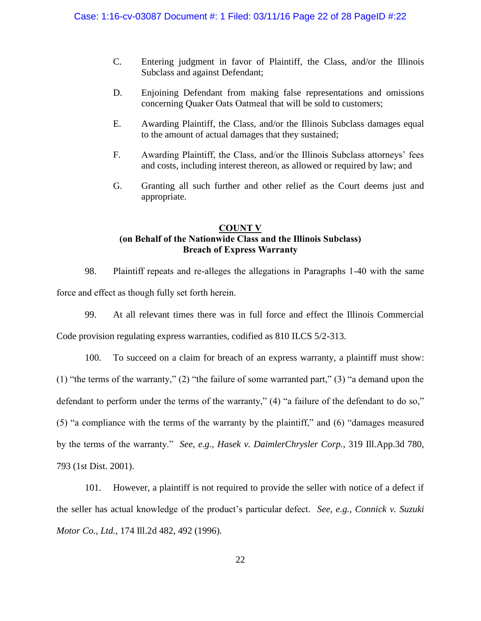- C. Entering judgment in favor of Plaintiff, the Class, and/or the Illinois Subclass and against Defendant;
- D. Enjoining Defendant from making false representations and omissions concerning Quaker Oats Oatmeal that will be sold to customers;
- E. Awarding Plaintiff, the Class, and/or the Illinois Subclass damages equal to the amount of actual damages that they sustained;
- F. Awarding Plaintiff, the Class, and/or the Illinois Subclass attorneys' fees and costs, including interest thereon, as allowed or required by law; and
- G. Granting all such further and other relief as the Court deems just and appropriate.

# **COUNT V (on Behalf of the Nationwide Class and the Illinois Subclass) Breach of Express Warranty**

98. Plaintiff repeats and re-alleges the allegations in Paragraphs 1-40 with the same force and effect as though fully set forth herein.

99. At all relevant times there was in full force and effect the Illinois Commercial

Code provision regulating express warranties, codified as 810 ILCS 5/2-313.

100. To succeed on a claim for breach of an express warranty, a plaintiff must show: (1) "the terms of the warranty," (2) "the failure of some warranted part," (3) "a demand upon the defendant to perform under the terms of the warranty," (4) "a failure of the defendant to do so," (5) "a compliance with the terms of the warranty by the plaintiff," and (6) "damages measured by the terms of the warranty." *See, e.g., Hasek v. DaimlerChrysler Corp.*, 319 Ill.App.3d 780, 793 (1st Dist. 2001).

101. However, a plaintiff is not required to provide the seller with notice of a defect if the seller has actual knowledge of the product's particular defect. *See, e.g., Connick v. Suzuki Motor Co., Ltd.*, 174 Ill.2d 482, 492 (1996).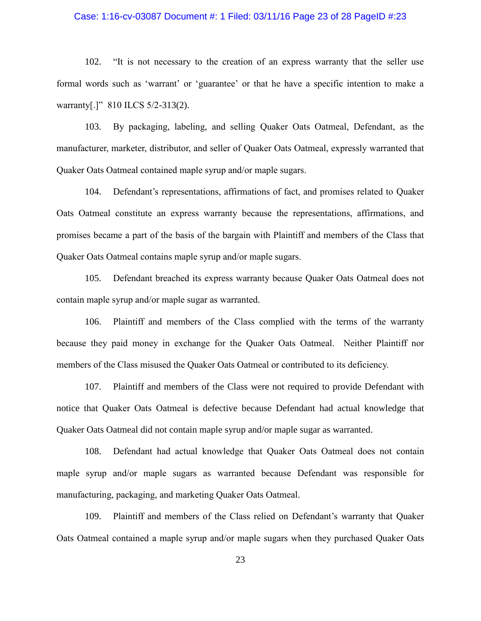### Case: 1:16-cv-03087 Document #: 1 Filed: 03/11/16 Page 23 of 28 PageID #:23

102. "It is not necessary to the creation of an express warranty that the seller use formal words such as 'warrant' or 'guarantee' or that he have a specific intention to make a warranty[.]" 810 ILCS 5/2-313(2).

103. By packaging, labeling, and selling Quaker Oats Oatmeal, Defendant, as the manufacturer, marketer, distributor, and seller of Quaker Oats Oatmeal, expressly warranted that Quaker Oats Oatmeal contained maple syrup and/or maple sugars.

104. Defendant's representations, affirmations of fact, and promises related to Quaker Oats Oatmeal constitute an express warranty because the representations, affirmations, and promises became a part of the basis of the bargain with Plaintiff and members of the Class that Quaker Oats Oatmeal contains maple syrup and/or maple sugars.

105. Defendant breached its express warranty because Quaker Oats Oatmeal does not contain maple syrup and/or maple sugar as warranted.

106. Plaintiff and members of the Class complied with the terms of the warranty because they paid money in exchange for the Quaker Oats Oatmeal. Neither Plaintiff nor members of the Class misused the Quaker Oats Oatmeal or contributed to its deficiency.

107. Plaintiff and members of the Class were not required to provide Defendant with notice that Quaker Oats Oatmeal is defective because Defendant had actual knowledge that Quaker Oats Oatmeal did not contain maple syrup and/or maple sugar as warranted.

108. Defendant had actual knowledge that Quaker Oats Oatmeal does not contain maple syrup and/or maple sugars as warranted because Defendant was responsible for manufacturing, packaging, and marketing Quaker Oats Oatmeal.

109. Plaintiff and members of the Class relied on Defendant's warranty that Quaker Oats Oatmeal contained a maple syrup and/or maple sugars when they purchased Quaker Oats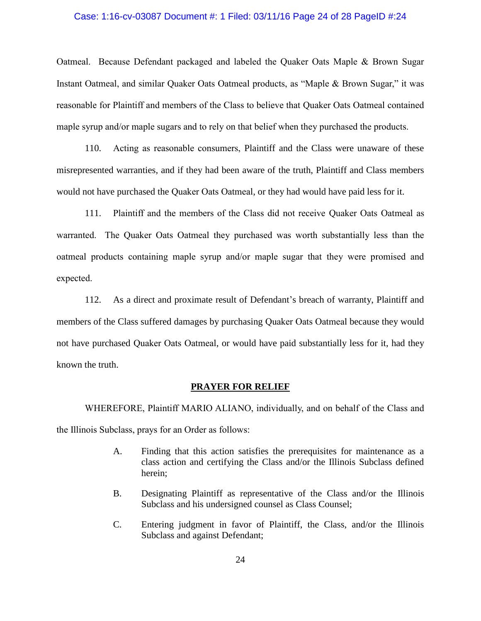### Case: 1:16-cv-03087 Document #: 1 Filed: 03/11/16 Page 24 of 28 PageID #:24

Oatmeal. Because Defendant packaged and labeled the Quaker Oats Maple & Brown Sugar Instant Oatmeal, and similar Quaker Oats Oatmeal products, as "Maple & Brown Sugar," it was reasonable for Plaintiff and members of the Class to believe that Quaker Oats Oatmeal contained maple syrup and/or maple sugars and to rely on that belief when they purchased the products.

110. Acting as reasonable consumers, Plaintiff and the Class were unaware of these misrepresented warranties, and if they had been aware of the truth, Plaintiff and Class members would not have purchased the Quaker Oats Oatmeal, or they had would have paid less for it.

111. Plaintiff and the members of the Class did not receive Quaker Oats Oatmeal as warranted. The Quaker Oats Oatmeal they purchased was worth substantially less than the oatmeal products containing maple syrup and/or maple sugar that they were promised and expected.

112. As a direct and proximate result of Defendant's breach of warranty, Plaintiff and members of the Class suffered damages by purchasing Quaker Oats Oatmeal because they would not have purchased Quaker Oats Oatmeal, or would have paid substantially less for it, had they known the truth.

#### **PRAYER FOR RELIEF**

WHEREFORE, Plaintiff MARIO ALIANO, individually, and on behalf of the Class and the Illinois Subclass, prays for an Order as follows:

- A. Finding that this action satisfies the prerequisites for maintenance as a class action and certifying the Class and/or the Illinois Subclass defined herein;
- B. Designating Plaintiff as representative of the Class and/or the Illinois Subclass and his undersigned counsel as Class Counsel;
- C. Entering judgment in favor of Plaintiff, the Class, and/or the Illinois Subclass and against Defendant;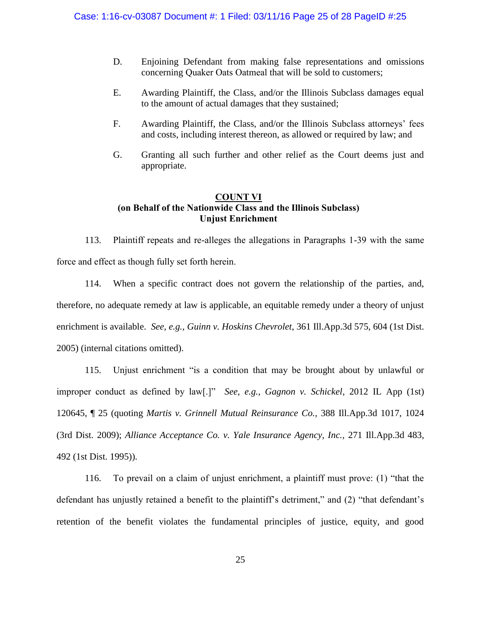- D. Enjoining Defendant from making false representations and omissions concerning Quaker Oats Oatmeal that will be sold to customers;
- E. Awarding Plaintiff, the Class, and/or the Illinois Subclass damages equal to the amount of actual damages that they sustained;
- F. Awarding Plaintiff, the Class, and/or the Illinois Subclass attorneys' fees and costs, including interest thereon, as allowed or required by law; and
- G. Granting all such further and other relief as the Court deems just and appropriate.

# **COUNT VI (on Behalf of the Nationwide Class and the Illinois Subclass) Unjust Enrichment**

113. Plaintiff repeats and re-alleges the allegations in Paragraphs 1-39 with the same force and effect as though fully set forth herein.

114. When a specific contract does not govern the relationship of the parties, and, therefore, no adequate remedy at law is applicable, an equitable remedy under a theory of unjust enrichment is available. *See, e.g., Guinn v. Hoskins Chevrolet*, 361 Ill.App.3d 575, 604 (1st Dist. 2005) (internal citations omitted).

115. Unjust enrichment "is a condition that may be brought about by unlawful or improper conduct as defined by law[.]" *See, e.g., Gagnon v. Schickel*, 2012 IL App (1st) 120645, ¶ 25 (quoting *Martis v. Grinnell Mutual Reinsurance Co.,* 388 Ill.App.3d 1017, 1024 (3rd Dist. 2009); *Alliance Acceptance Co. v. Yale Insurance Agency, Inc.,* 271 Ill.App.3d 483, 492 (1st Dist. 1995)).

116. To prevail on a claim of unjust enrichment, a plaintiff must prove: (1) "that the defendant has unjustly retained a benefit to the plaintiff's detriment," and (2) "that defendant's retention of the benefit violates the fundamental principles of justice, equity, and good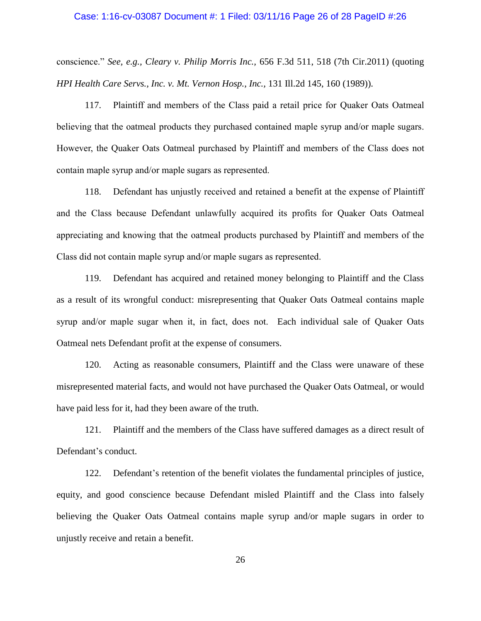#### Case: 1:16-cv-03087 Document #: 1 Filed: 03/11/16 Page 26 of 28 PageID #:26

conscience." *See, e.g., Cleary v. Philip Morris Inc.,* 656 F.3d 511, 518 (7th Cir.2011) (quoting *HPI Health Care Servs., Inc. v. Mt. Vernon Hosp., Inc.,* 131 Ill.2d 145, 160 (1989)).

117. Plaintiff and members of the Class paid a retail price for Quaker Oats Oatmeal believing that the oatmeal products they purchased contained maple syrup and/or maple sugars. However, the Quaker Oats Oatmeal purchased by Plaintiff and members of the Class does not contain maple syrup and/or maple sugars as represented.

118. Defendant has unjustly received and retained a benefit at the expense of Plaintiff and the Class because Defendant unlawfully acquired its profits for Quaker Oats Oatmeal appreciating and knowing that the oatmeal products purchased by Plaintiff and members of the Class did not contain maple syrup and/or maple sugars as represented.

119. Defendant has acquired and retained money belonging to Plaintiff and the Class as a result of its wrongful conduct: misrepresenting that Quaker Oats Oatmeal contains maple syrup and/or maple sugar when it, in fact, does not. Each individual sale of Quaker Oats Oatmeal nets Defendant profit at the expense of consumers.

120. Acting as reasonable consumers, Plaintiff and the Class were unaware of these misrepresented material facts, and would not have purchased the Quaker Oats Oatmeal, or would have paid less for it, had they been aware of the truth.

121. Plaintiff and the members of the Class have suffered damages as a direct result of Defendant's conduct.

122. Defendant's retention of the benefit violates the fundamental principles of justice, equity, and good conscience because Defendant misled Plaintiff and the Class into falsely believing the Quaker Oats Oatmeal contains maple syrup and/or maple sugars in order to unjustly receive and retain a benefit.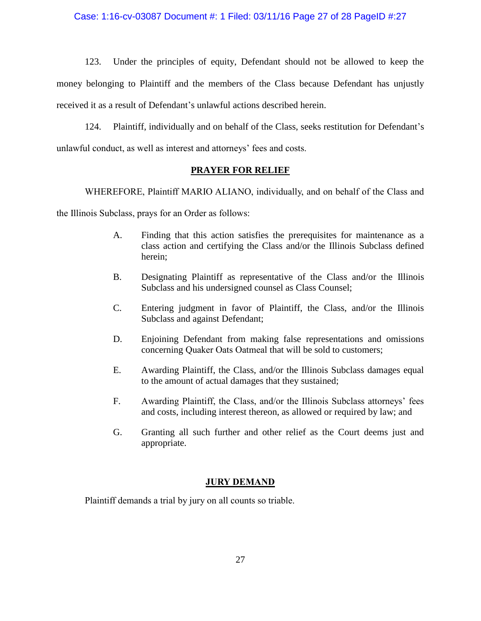# Case: 1:16-cv-03087 Document #: 1 Filed: 03/11/16 Page 27 of 28 PageID #:27

123. Under the principles of equity, Defendant should not be allowed to keep the money belonging to Plaintiff and the members of the Class because Defendant has unjustly received it as a result of Defendant's unlawful actions described herein.

124. Plaintiff, individually and on behalf of the Class, seeks restitution for Defendant's unlawful conduct, as well as interest and attorneys' fees and costs.

## **PRAYER FOR RELIEF**

WHEREFORE, Plaintiff MARIO ALIANO, individually, and on behalf of the Class and

the Illinois Subclass, prays for an Order as follows:

- A. Finding that this action satisfies the prerequisites for maintenance as a class action and certifying the Class and/or the Illinois Subclass defined herein;
- B. Designating Plaintiff as representative of the Class and/or the Illinois Subclass and his undersigned counsel as Class Counsel;
- C. Entering judgment in favor of Plaintiff, the Class, and/or the Illinois Subclass and against Defendant;
- D. Enjoining Defendant from making false representations and omissions concerning Quaker Oats Oatmeal that will be sold to customers;
- E. Awarding Plaintiff, the Class, and/or the Illinois Subclass damages equal to the amount of actual damages that they sustained;
- F. Awarding Plaintiff, the Class, and/or the Illinois Subclass attorneys' fees and costs, including interest thereon, as allowed or required by law; and
- G. Granting all such further and other relief as the Court deems just and appropriate.

# **JURY DEMAND**

Plaintiff demands a trial by jury on all counts so triable.